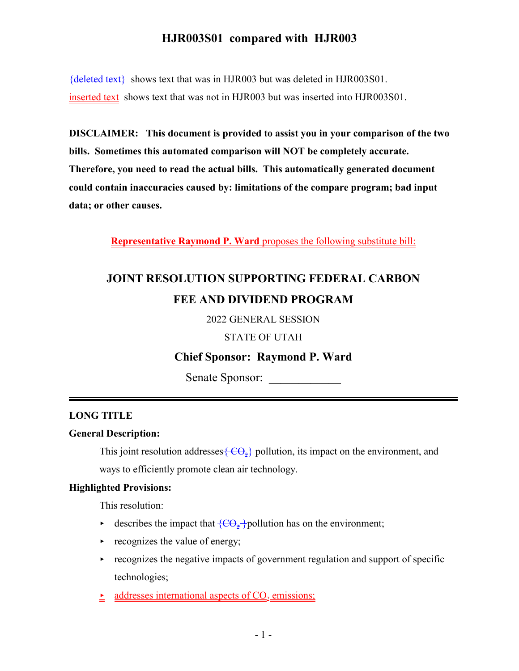${deleted text}$  shows text that was in HJR003 but was deleted in HJR003S01. inserted text shows text that was not in HJR003 but was inserted into HJR003S01.

**DISCLAIMER: This document is provided to assist you in your comparison of the two bills. Sometimes this automated comparison will NOT be completely accurate. Therefore, you need to read the actual bills. This automatically generated document could contain inaccuracies caused by: limitations of the compare program; bad input data; or other causes.**

**Representative Raymond P. Ward** proposes the following substitute bill:

# **JOINT RESOLUTION SUPPORTING FEDERAL CARBON FEE AND DIVIDEND PROGRAM**

2022 GENERAL SESSION

STATE OF UTAH

## **Chief Sponsor: Raymond P. Ward**

Senate Sponsor:

## **LONG TITLE**

## **General Description:**

This joint resolution addresses  $\{CO_2\}$  pollution, its impact on the environment, and ways to efficiently promote clean air technology.

#### **Highlighted Provisions:**

This resolution:

- e describes the impact that  $\{\overline{CO_2}$  pollution has on the environment;
- $\triangleright$  recognizes the value of energy;
- $\triangleright$  recognizes the negative impacts of government regulation and support of specific technologies;
- $\triangleq$  addresses international aspects of CO<sub>2</sub> emissions;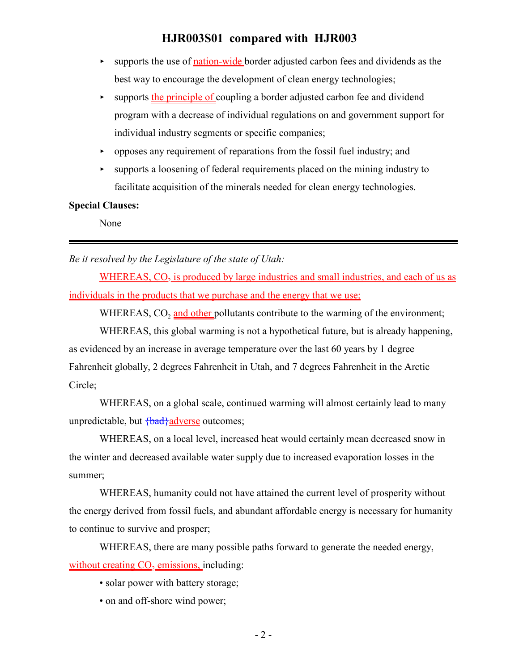- supports the use of nation-wide border adjusted carbon fees and dividends as the best way to encourage the development of clean energy technologies;
- supports the principle of coupling a border adjusted carbon fee and dividend program with a decrease of individual regulations on and government support for individual industry segments or specific companies;
- $\rightarrow$  opposes any requirement of reparations from the fossil fuel industry; and
- < supports a loosening of federal requirements placed on the mining industry to facilitate acquisition of the minerals needed for clean energy technologies.

#### **Special Clauses:**

None

*Be it resolved by the Legislature of the state of Utah:*

 $\underline{\text{WHEREAS}}$ ,  $\text{CO}_2$  is produced by large industries and small industries, and each of us as individuals in the products that we purchase and the energy that we use;

WHEREAS, CO<sub>2</sub> and other pollutants contribute to the warming of the environment;

WHEREAS, this global warming is not a hypothetical future, but is already happening, as evidenced by an increase in average temperature over the last 60 years by 1 degree Fahrenheit globally, 2 degrees Fahrenheit in Utah, and 7 degrees Fahrenheit in the Arctic Circle;

WHEREAS, on a global scale, continued warming will almost certainly lead to many unpredictable, but  $\frac{1}{6}$ adverse outcomes;

WHEREAS, on a local level, increased heat would certainly mean decreased snow in the winter and decreased available water supply due to increased evaporation losses in the summer;

WHEREAS, humanity could not have attained the current level of prosperity without the energy derived from fossil fuels, and abundant affordable energy is necessary for humanity to continue to survive and prosper;

WHEREAS, there are many possible paths forward to generate the needed energy, without creating  $CO<sub>2</sub>$  emissions, including:

- solar power with battery storage;
- on and off-shore wind power;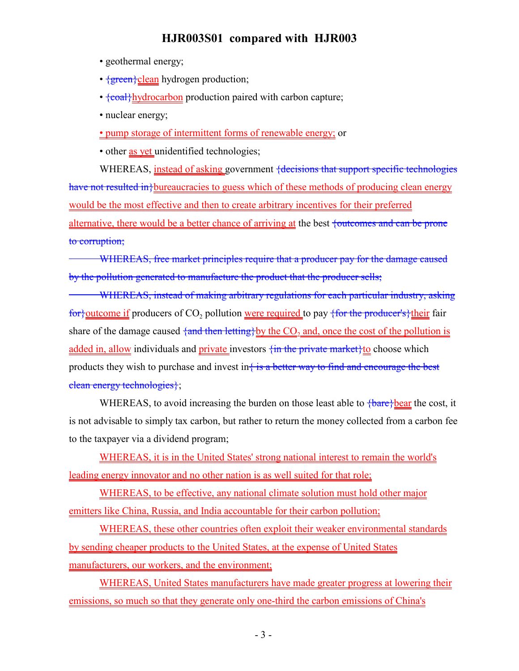- geothermal energy;
- {green}clean hydrogen production;
- $\{coal\}$ hydrocarbon production paired with carbon capture;
- nuclear energy;

• pump storage of intermittent forms of renewable energy; or

• other as yet unidentified technologies;

WHEREAS, instead of asking government {decisions that support specific technologies have not resulted in bureaucracies to guess which of these methods of producing clean energy would be the most effective and then to create arbitrary incentives for their preferred alternative, there would be a better chance of arriving at the best  $\frac{1}{1}$  to  $\frac{1}{1}$  can be prone to corruption;

WHEREAS, free market principles require that a producer pay for the damage caused by the pollution generated to manufacture the product that the producer sells;

WHEREAS, instead of making arbitrary regulations for each particular industry, asking <del>for}</del><u>outcome if</u> producers of CO<sub>2</sub> pollution <u>were required</u> to pay <del>{for the producer's}</del> <u>their</u> fair share of the damage caused <del>{and then letting}</del>by the CO<sub>2</sub> and, once the cost of the pollution is added in, allow individuals and private investors  $\{\text{in the private market}\}$  to choose which products they wish to purchase and invest in $\frac{1}{3}$  is a better way to find and encourage the best clean energy technologies};

WHEREAS, to avoid increasing the burden on those least able to  $\frac{\text{bar}}{\text{bar}}$  bear the cost, it is not advisable to simply tax carbon, but rather to return the money collected from a carbon fee to the taxpayer via a dividend program;

WHEREAS, it is in the United States' strong national interest to remain the world's leading energy innovator and no other nation is as well suited for that role;

WHEREAS, to be effective, any national climate solution must hold other major emitters like China, Russia, and India accountable for their carbon pollution;

WHEREAS, these other countries often exploit their weaker environmental standards by sending cheaper products to the United States, at the expense of United States manufacturers, our workers, and the environment;

WHEREAS, United States manufacturers have made greater progress at lowering their emissions, so much so that they generate only one-third the carbon emissions of China's